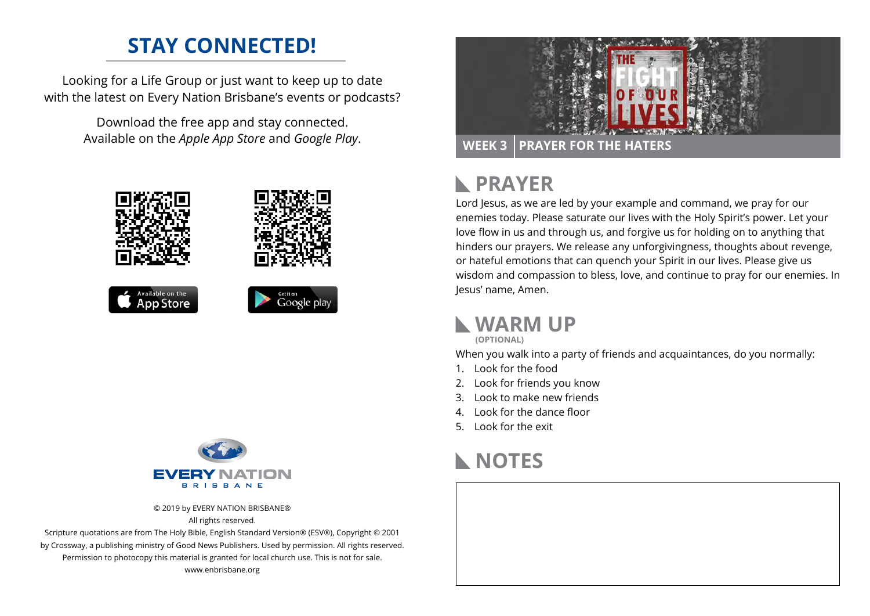## **STAY CONNECTED!**

Looking for a Life Group or just want to keep up to date with the latest on Every Nation Brisbane's events or podcasts?

> Download the free app and stay connected. Available on the *Apple App Store* and *Google Play*.





© 2019 by EVERY NATION BRISBANE®

All rights reserved.

Scripture quotations are from The Holy Bible, English Standard Version® (ESV®), Copyright © 2001 by Crossway, a publishing ministry of Good News Publishers. Used by permission. All rights reserved. Permission to photocopy this material is granted for local church use. This is not for sale. www.enbrisbane.org



### **PRAYER**  $\mathbb{R}$

Lord Jesus, as we are led by your example and command, we pray for our enemies today. Please saturate our lives with the Holy Spirit's power. Let your love flow in us and through us, and forgive us for holding on to anything that hinders our prayers. We release any unforgivingness, thoughts about revenge, or hateful emotions that can quench your Spirit in our lives. Please give us wisdom and compassion to bless, love, and continue to pray for our enemies. In Jesus' name, Amen.

### **WARM UP**

**(OPTIONAL)**

When you walk into a party of friends and acquaintances, do you normally:

- 1. Look for the food
- 2. Look for friends you know
- 3. Look to make new friends
- 4. Look for the dance floor
- 5. Look for the exit



# **NOTES**